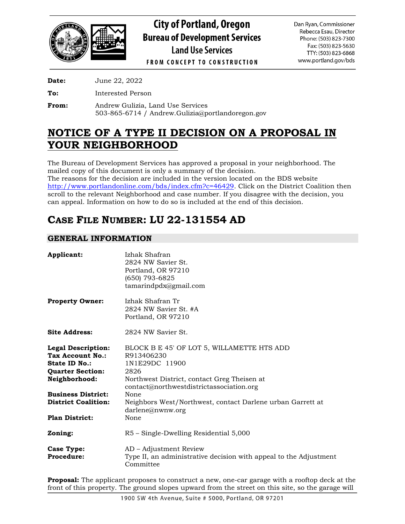

**City of Portland, Oregon Bureau of Development Services Land Use Services** 

Dan Ryan, Commissioner Rebecca Esau, Director Phone: (503) 823-7300 Fax: (503) 823-5630 TTY: (503) 823-6868 www.portland.gov/bds

**FROM CONCEPT TO CONSTRUCTION** 

**Date:** June 22, 2022

**To:** Interested Person

**From:** Andrew Gulizia, Land Use Services 503-865-6714 / Andrew.Gulizia@portlandoregon.gov

## **NOTICE OF A TYPE II DECISION ON A PROPOSAL IN YOUR NEIGHBORHOOD**

The Bureau of Development Services has approved a proposal in your neighborhood. The mailed copy of this document is only a summary of the decision. The reasons for the decision are included in the version located on the BDS website [http://www.portlandonline.com/bds/index.cfm?c=46429.](http://www.portlandonline.com/bds/index.cfm?c=46429) Click on the District Coalition then scroll to the relevant Neighborhood and case number. If you disagree with the decision, you can appeal. Information on how to do so is included at the end of this decision.

# **CASE FILE NUMBER: LU 22-131554 AD**

## **GENERAL INFORMATION**

| Applicant:                                                                                                                                                                                     | Izhak Shafran<br>2824 NW Savier St.<br>Portland, OR 97210<br>(650) 793-6825<br>tamarindpdx@gmail.com                                                                                                                                                                            |
|------------------------------------------------------------------------------------------------------------------------------------------------------------------------------------------------|---------------------------------------------------------------------------------------------------------------------------------------------------------------------------------------------------------------------------------------------------------------------------------|
| <b>Property Owner:</b>                                                                                                                                                                         | Izhak Shafran Tr<br>2824 NW Savier St. #A<br>Portland, OR 97210                                                                                                                                                                                                                 |
| <b>Site Address:</b>                                                                                                                                                                           | 2824 NW Savier St.                                                                                                                                                                                                                                                              |
| <b>Legal Description:</b><br>Tax Account No.:<br>State ID No.:<br><b>Quarter Section:</b><br>Neighborhood:<br><b>Business District:</b><br><b>District Coalition:</b><br><b>Plan District:</b> | BLOCK B E 45' OF LOT 5, WILLAMETTE HTS ADD<br>R913406230<br>1N1E29DC 11900<br>2826<br>Northwest District, contact Greg Theisen at<br>contact@northwestdistrictassociation.org<br>None<br>Neighbors West/Northwest, contact Darlene urban Garrett at<br>darlene@nwmw.org<br>None |
| Zoning:                                                                                                                                                                                        | R5 – Single-Dwelling Residential 5,000                                                                                                                                                                                                                                          |
| Case Type:<br>Procedure:                                                                                                                                                                       | AD – Adjustment Review<br>Type II, an administrative decision with appeal to the Adjustment<br>Committee                                                                                                                                                                        |

**Proposal:** The applicant proposes to construct a new, one-car garage with a rooftop deck at the front of this property. The ground slopes upward from the street on this site, so the garage will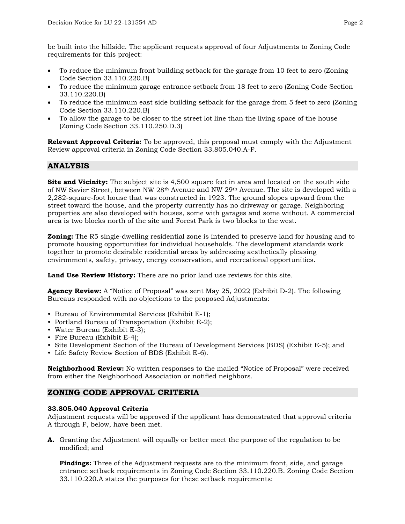be built into the hillside. The applicant requests approval of four Adjustments to Zoning Code requirements for this project:

- To reduce the minimum front building setback for the garage from 10 feet to zero (Zoning Code Section 33.110.220.B)
- To reduce the minimum garage entrance setback from 18 feet to zero (Zoning Code Section 33.110.220.B)
- To reduce the minimum east side building setback for the garage from 5 feet to zero (Zoning Code Section 33.110.220.B)
- To allow the garage to be closer to the street lot line than the living space of the house (Zoning Code Section 33.110.250.D.3)

**Relevant Approval Criteria:** To be approved, this proposal must comply with the Adjustment Review approval criteria in Zoning Code Section 33.805.040.A-F.

## **ANALYSIS**

**Site and Vicinity:** The subject site is 4,500 square feet in area and located on the south side of NW Savier Street, between NW 28th Avenue and NW 29th Avenue. The site is developed with a 2,282-square-foot house that was constructed in 1923. The ground slopes upward from the street toward the house, and the property currently has no driveway or garage. Neighboring properties are also developed with houses, some with garages and some without. A commercial area is two blocks north of the site and Forest Park is two blocks to the west.

**Zoning:** The R5 single-dwelling residential zone is intended to preserve land for housing and to promote housing opportunities for individual households. The development standards work together to promote desirable residential areas by addressing aesthetically pleasing environments, safety, privacy, energy conservation, and recreational opportunities.

**Land Use Review History:** There are no prior land use reviews for this site.

**Agency Review:** A "Notice of Proposal" was sent May 25, 2022 (Exhibit D-2). The following Bureaus responded with no objections to the proposed Adjustments:

- Bureau of Environmental Services (Exhibit E-1);
- Portland Bureau of Transportation (Exhibit E-2);
- Water Bureau (Exhibit E-3);
- Fire Bureau (Exhibit E-4);
- Site Development Section of the Bureau of Development Services (BDS) (Exhibit E-5); and
- Life Safety Review Section of BDS (Exhibit E-6).

**Neighborhood Review:** No written responses to the mailed "Notice of Proposal" were received from either the Neighborhood Association or notified neighbors.

## **ZONING CODE APPROVAL CRITERIA**

#### **33.805.040 Approval Criteria**

Adjustment requests will be approved if the applicant has demonstrated that approval criteria A through F, below, have been met.

**A.** Granting the Adjustment will equally or better meet the purpose of the regulation to be modified; and

**Findings:** Three of the Adjustment requests are to the minimum front, side, and garage entrance setback requirements in Zoning Code Section 33.110.220.B. Zoning Code Section 33.110.220.A states the purposes for these setback requirements: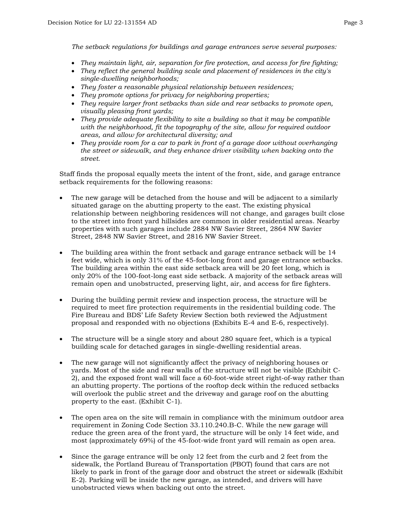*The setback regulations for buildings and garage entrances serve several purposes:*

- *They maintain light, air, separation for fire protection, and access for fire fighting;*
- *They reflect the general building scale and placement of residences in the city's single-dwelling neighborhoods;*
- *They foster a reasonable physical relationship between residences;*
- *They promote options for privacy for neighboring properties;*
- *They require larger front setbacks than side and rear setbacks to promote open, visually pleasing front yards;*
- *They provide adequate flexibility to site a building so that it may be compatible with the neighborhood, fit the topography of the site, allow for required outdoor areas, and allow for architectural diversity; and*
- *They provide room for a car to park in front of a garage door without overhanging the street or sidewalk, and they enhance driver visibility when backing onto the street.*

Staff finds the proposal equally meets the intent of the front, side, and garage entrance setback requirements for the following reasons:

- The new garage will be detached from the house and will be adjacent to a similarly situated garage on the abutting property to the east. The existing physical relationship between neighboring residences will not change, and garages built close to the street into front yard hillsides are common in older residential areas. Nearby properties with such garages include 2884 NW Savier Street, 2864 NW Savier Street, 2848 NW Savier Street, and 2816 NW Savier Street.
- The building area within the front setback and garage entrance setback will be 14 feet wide, which is only 31% of the 45-foot-long front and garage entrance setbacks. The building area within the east side setback area will be 20 feet long, which is only 20% of the 100-foot-long east side setback. A majority of the setback areas will remain open and unobstructed, preserving light, air, and access for fire fighters.
- During the building permit review and inspection process, the structure will be required to meet fire protection requirements in the residential building code. The Fire Bureau and BDS' Life Safety Review Section both reviewed the Adjustment proposal and responded with no objections (Exhibits E-4 and E-6, respectively).
- The structure will be a single story and about 280 square feet, which is a typical building scale for detached garages in single-dwelling residential areas.
- The new garage will not significantly affect the privacy of neighboring houses or yards. Most of the side and rear walls of the structure will not be visible (Exhibit C-2), and the exposed front wall will face a 60-foot-wide street right-of-way rather than an abutting property. The portions of the rooftop deck within the reduced setbacks will overlook the public street and the driveway and garage roof on the abutting property to the east. (Exhibit C-1).
- The open area on the site will remain in compliance with the minimum outdoor area requirement in Zoning Code Section 33.110.240.B-C. While the new garage will reduce the green area of the front yard, the structure will be only 14 feet wide, and most (approximately 69%) of the 45-foot-wide front yard will remain as open area.
- Since the garage entrance will be only 12 feet from the curb and 2 feet from the sidewalk, the Portland Bureau of Transportation (PBOT) found that cars are not likely to park in front of the garage door and obstruct the street or sidewalk (Exhibit E-2). Parking will be inside the new garage, as intended, and drivers will have unobstructed views when backing out onto the street.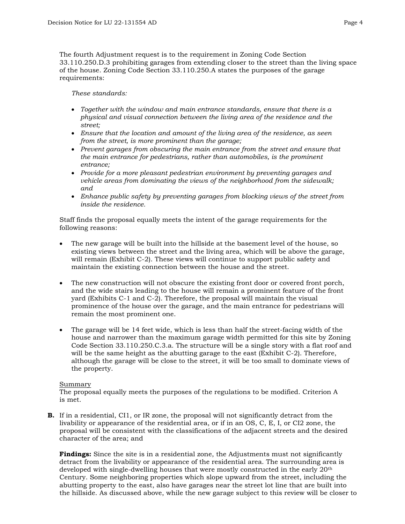The fourth Adjustment request is to the requirement in Zoning Code Section 33.110.250.D.3 prohibiting garages from extending closer to the street than the living space of the house. Zoning Code Section 33.110.250.A states the purposes of the garage requirements:

*These standards:*

- *Together with the window and main entrance standards, ensure that there is a physical and visual connection between the living area of the residence and the street;*
- *Ensure that the location and amount of the living area of the residence, as seen from the street, is more prominent than the garage;*
- *Prevent garages from obscuring the main entrance from the street and ensure that the main entrance for pedestrians, rather than automobiles, is the prominent entrance;*
- *Provide for a more pleasant pedestrian environment by preventing garages and vehicle areas from dominating the views of the neighborhood from the sidewalk; and*
- *Enhance public safety by preventing garages from blocking views of the street from inside the residence.*

Staff finds the proposal equally meets the intent of the garage requirements for the following reasons:

- The new garage will be built into the hillside at the basement level of the house, so existing views between the street and the living area, which will be above the garage, will remain (Exhibit C-2). These views will continue to support public safety and maintain the existing connection between the house and the street.
- The new construction will not obscure the existing front door or covered front porch, and the wide stairs leading to the house will remain a prominent feature of the front yard (Exhibits C-1 and C-2). Therefore, the proposal will maintain the visual prominence of the house over the garage, and the main entrance for pedestrians will remain the most prominent one.
- The garage will be 14 feet wide, which is less than half the street-facing width of the house and narrower than the maximum garage width permitted for this site by Zoning Code Section 33.110.250.C.3.a. The structure will be a single story with a flat roof and will be the same height as the abutting garage to the east (Exhibit C-2). Therefore, although the garage will be close to the street, it will be too small to dominate views of the property.

### Summary

The proposal equally meets the purposes of the regulations to be modified. Criterion A is met.

**B.** If in a residential, CI1, or IR zone, the proposal will not significantly detract from the livability or appearance of the residential area, or if in an OS, C, E, I, or CI2 zone, the proposal will be consistent with the classifications of the adjacent streets and the desired character of the area; and

**Findings:** Since the site is in a residential zone, the Adjustments must not significantly detract from the livability or appearance of the residential area. The surrounding area is developed with single-dwelling houses that were mostly constructed in the early 20th Century. Some neighboring properties which slope upward from the street, including the abutting property to the east, also have garages near the street lot line that are built into the hillside. As discussed above, while the new garage subject to this review will be closer to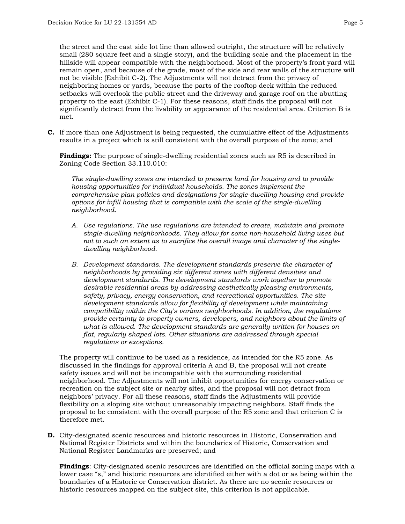the street and the east side lot line than allowed outright, the structure will be relatively small (280 square feet and a single story), and the building scale and the placement in the

hillside will appear compatible with the neighborhood. Most of the property's front yard will remain open, and because of the grade, most of the side and rear walls of the structure will not be visible (Exhibit C-2). The Adjustments will not detract from the privacy of neighboring homes or yards, because the parts of the rooftop deck within the reduced setbacks will overlook the public street and the driveway and garage roof on the abutting property to the east (Exhibit C-1). For these reasons, staff finds the proposal will not significantly detract from the livability or appearance of the residential area. Criterion B is met.

**C.** If more than one Adjustment is being requested, the cumulative effect of the Adjustments results in a project which is still consistent with the overall purpose of the zone; and

**Findings:** The purpose of single-dwelling residential zones such as R5 is described in Zoning Code Section 33.110.010:

*The single-dwelling zones are intended to preserve land for housing and to provide housing opportunities for individual households. The zones implement the comprehensive plan policies and designations for single-dwelling housing and provide options for infill housing that is compatible with the scale of the single-dwelling neighborhood.*

- *A. Use regulations. The use regulations are intended to create, maintain and promote single-dwelling neighborhoods. They allow for some non-household living uses but not to such an extent as to sacrifice the overall image and character of the singledwelling neighborhood.*
- *B. Development standards. The development standards preserve the character of neighborhoods by providing six different zones with different densities and development standards. The development standards work together to promote desirable residential areas by addressing aesthetically pleasing environments, safety, privacy, energy conservation, and recreational opportunities. The site development standards allow for flexibility of development while maintaining compatibility within the City's various neighborhoods. In addition, the regulations provide certainty to property owners, developers, and neighbors about the limits of what is allowed. The development standards are generally written for houses on flat, regularly shaped lots. Other situations are addressed through special regulations or exceptions.*

The property will continue to be used as a residence, as intended for the R5 zone. As discussed in the findings for approval criteria A and B, the proposal will not create safety issues and will not be incompatible with the surrounding residential neighborhood. The Adjustments will not inhibit opportunities for energy conservation or recreation on the subject site or nearby sites, and the proposal will not detract from neighbors' privacy. For all these reasons, staff finds the Adjustments will provide flexibility on a sloping site without unreasonably impacting neighbors. Staff finds the proposal to be consistent with the overall purpose of the R5 zone and that criterion C is therefore met.

**D.** City-designated scenic resources and historic resources in Historic, Conservation and National Register Districts and within the boundaries of Historic, Conservation and National Register Landmarks are preserved; and

**Findings**: City-designated scenic resources are identified on the official zoning maps with a lower case "s," and historic resources are identified either with a dot or as being within the boundaries of a Historic or Conservation district. As there are no scenic resources or historic resources mapped on the subject site, this criterion is not applicable.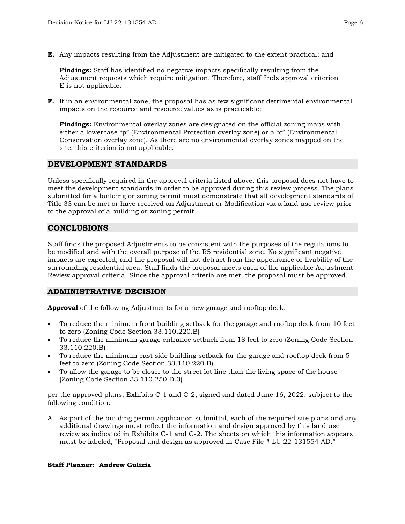**E.** Any impacts resulting from the Adjustment are mitigated to the extent practical; and

**Findings:** Staff has identified no negative impacts specifically resulting from the Adjustment requests which require mitigation. Therefore, staff finds approval criterion E is not applicable.

**F.** If in an environmental zone, the proposal has as few significant detrimental environmental impacts on the resource and resource values as is practicable;

**Findings:** Environmental overlay zones are designated on the official zoning maps with either a lowercase "p" (Environmental Protection overlay zone) or a "c" (Environmental Conservation overlay zone). As there are no environmental overlay zones mapped on the site, this criterion is not applicable.

## **DEVELOPMENT STANDARDS**

Unless specifically required in the approval criteria listed above, this proposal does not have to meet the development standards in order to be approved during this review process. The plans submitted for a building or zoning permit must demonstrate that all development standards of Title 33 can be met or have received an Adjustment or Modification via a land use review prior to the approval of a building or zoning permit.

## **CONCLUSIONS**

Staff finds the proposed Adjustments to be consistent with the purposes of the regulations to be modified and with the overall purpose of the R5 residential zone. No significant negative impacts are expected, and the proposal will not detract from the appearance or livability of the surrounding residential area. Staff finds the proposal meets each of the applicable Adjustment Review approval criteria. Since the approval criteria are met, the proposal must be approved.

## **ADMINISTRATIVE DECISION**

**Approval** of the following Adjustments for a new garage and rooftop deck:

- To reduce the minimum front building setback for the garage and rooftop deck from 10 feet to zero (Zoning Code Section 33.110.220.B)
- To reduce the minimum garage entrance setback from 18 feet to zero (Zoning Code Section 33.110.220.B)
- To reduce the minimum east side building setback for the garage and rooftop deck from 5 feet to zero (Zoning Code Section 33.110.220.B)
- To allow the garage to be closer to the street lot line than the living space of the house (Zoning Code Section 33.110.250.D.3)

per the approved plans, Exhibits C-1 and C-2, signed and dated June 16, 2022, subject to the following condition:

A. As part of the building permit application submittal, each of the required site plans and any additional drawings must reflect the information and design approved by this land use review as indicated in Exhibits C-1 and C-2. The sheets on which this information appears must be labeled, "Proposal and design as approved in Case File # LU 22-131554 AD."

### **Staff Planner: Andrew Gulizia**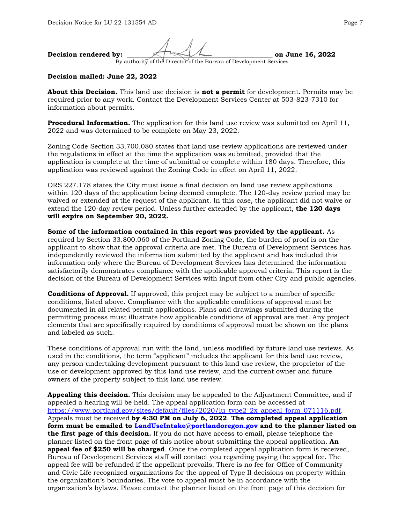**Decision rendered by:**  $\mathcal{L}$   $\mathcal{L}$  **on June 16, 2022** By authority of the Director of the Bureau of Development Services

#### **Decision mailed: June 22, 2022**

**About this Decision.** This land use decision is **not a permit** for development. Permits may be required prior to any work. Contact the Development Services Center at 503-823-7310 for information about permits.

**Procedural Information.** The application for this land use review was submitted on April 11, 2022 and was determined to be complete on May 23, 2022.

Zoning Code Section 33.700.080 states that land use review applications are reviewed under the regulations in effect at the time the application was submitted, provided that the application is complete at the time of submittal or complete within 180 days. Therefore, this application was reviewed against the Zoning Code in effect on April 11, 2022.

ORS 227.178 states the City must issue a final decision on land use review applications within 120 days of the application being deemed complete. The 120-day review period may be waived or extended at the request of the applicant. In this case, the applicant did not waive or extend the 120-day review period. Unless further extended by the applicant, **the 120 days will expire on September 20, 2022.**

**Some of the information contained in this report was provided by the applicant.** As required by Section 33.800.060 of the Portland Zoning Code, the burden of proof is on the applicant to show that the approval criteria are met. The Bureau of Development Services has independently reviewed the information submitted by the applicant and has included this information only where the Bureau of Development Services has determined the information satisfactorily demonstrates compliance with the applicable approval criteria. This report is the decision of the Bureau of Development Services with input from other City and public agencies.

**Conditions of Approval.** If approved, this project may be subject to a number of specific conditions, listed above. Compliance with the applicable conditions of approval must be documented in all related permit applications. Plans and drawings submitted during the permitting process must illustrate how applicable conditions of approval are met. Any project elements that are specifically required by conditions of approval must be shown on the plans and labeled as such.

These conditions of approval run with the land, unless modified by future land use reviews. As used in the conditions, the term "applicant" includes the applicant for this land use review, any person undertaking development pursuant to this land use review, the proprietor of the use or development approved by this land use review, and the current owner and future owners of the property subject to this land use review.

**Appealing this decision.** This decision may be appealed to the Adjustment Committee, and if appealed a hearing will be held. The appeal application form can be accessed at [https://www.portland.gov/sites/default/files/2020/lu\\_type2\\_2x\\_appeal\\_form\\_071116.pdf.](https://www.portland.gov/sites/default/files/2020/lu_type2_2x_appeal_form_071116.pdf) Appeals must be received **by 4:30 PM on July 6, 2022**. **The completed appeal application form must be emailed to [LandUseIntake@portlandoregon.gov](mailto:LandUseIntake@portlandoregon.gov) and to the planner listed on the first page of this decision.** If you do not have access to email, please telephone the planner listed on the front page of this notice about submitting the appeal application. **An appeal fee of \$250 will be charged**. Once the completed appeal application form is received, Bureau of Development Services staff will contact you regarding paying the appeal fee. The appeal fee will be refunded if the appellant prevails. There is no fee for Office of Community and Civic Life recognized organizations for the appeal of Type II decisions on property within the organization's boundaries. The vote to appeal must be in accordance with the organization's bylaws. Please contact the planner listed on the front page of this decision for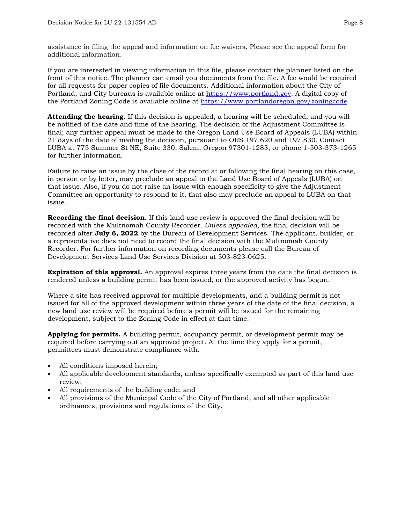assistance in filing the appeal and information on fee waivers. Please see the appeal form for additional information.

If you are interested in viewing information in this file, please contact the planner listed on the front of this notice. The planner can email you documents from the file. A fee would be required for all requests for paper copies of file documents. Additional information about the City of Portland, and City bureaus is available online at [https://www.portland.gov.](https://www.portland.gov/) A digital copy of the Portland Zoning Code is available online at [https://www.portlandoregon.gov/zoningcode.](https://www.portlandoregon.gov/zoningcode)

**Attending the hearing.** If this decision is appealed, a hearing will be scheduled, and you will be notified of the date and time of the hearing. The decision of the Adjustment Committee is final; any further appeal must be made to the Oregon Land Use Board of Appeals (LUBA) within 21 days of the date of mailing the decision, pursuant to ORS 197.620 and 197.830. Contact LUBA at 775 Summer St NE, Suite 330, Salem, Oregon 97301-1283, or phone 1-503-373-1265 for further information.

Failure to raise an issue by the close of the record at or following the final hearing on this case, in person or by letter, may preclude an appeal to the Land Use Board of Appeals (LUBA) on that issue. Also, if you do not raise an issue with enough specificity to give the Adjustment Committee an opportunity to respond to it, that also may preclude an appeal to LUBA on that issue.

**Recording the final decision.** If this land use review is approved the final decision will be recorded with the Multnomah County Recorder. *Unless appealed,* the final decision will be recorded after **July 6, 2022** by the Bureau of Development Services. The applicant, builder, or a representative does not need to record the final decision with the Multnomah County Recorder. For further information on recording documents please call the Bureau of Development Services Land Use Services Division at 503-823-0625.

**Expiration of this approval.** An approval expires three years from the date the final decision is rendered unless a building permit has been issued, or the approved activity has begun.

Where a site has received approval for multiple developments, and a building permit is not issued for all of the approved development within three years of the date of the final decision, a new land use review will be required before a permit will be issued for the remaining development, subject to the Zoning Code in effect at that time.

**Applying for permits.** A building permit, occupancy permit, or development permit may be required before carrying out an approved project. At the time they apply for a permit, permittees must demonstrate compliance with:

- All conditions imposed herein;
- All applicable development standards, unless specifically exempted as part of this land use review;
- All requirements of the building code; and
- All provisions of the Municipal Code of the City of Portland, and all other applicable ordinances, provisions and regulations of the City.